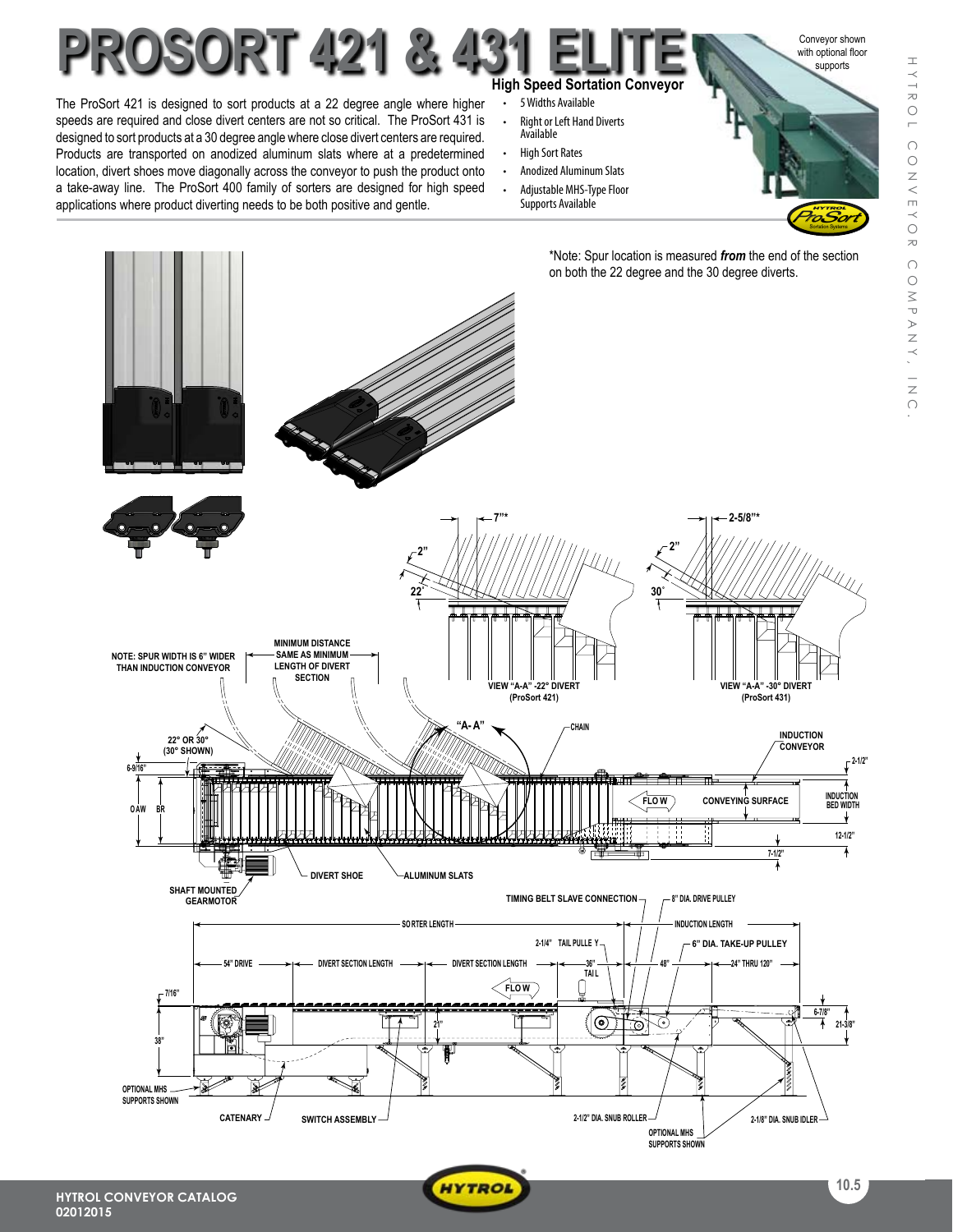